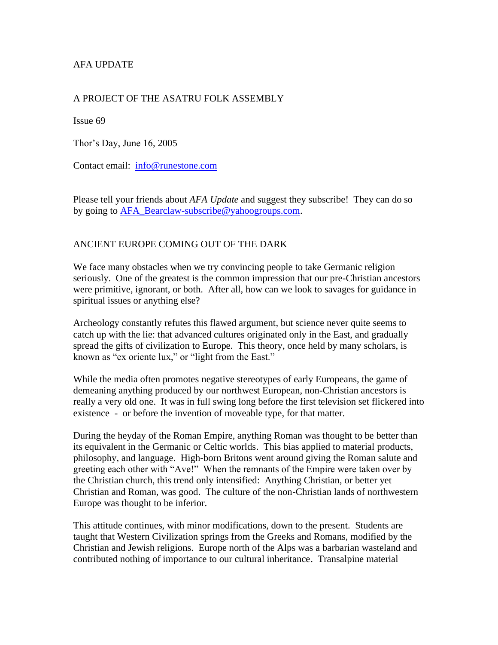# AFA UPDATE

## A PROJECT OF THE ASATRU FOLK ASSEMBLY

Issue 69

Thor's Day, June 16, 2005

Contact email: [info@runestone.com](mailto:info@runestone.com)

Please tell your friends about *AFA Update* and suggest they subscribe! They can do so by going to [AFA\\_Bearclaw-subscribe@yahoogroups.com.](mailto:AFA_Bearclaw-subscribe@yahoogroups.com)

## ANCIENT EUROPE COMING OUT OF THE DARK

We face many obstacles when we try convincing people to take Germanic religion seriously. One of the greatest is the common impression that our pre-Christian ancestors were primitive, ignorant, or both. After all, how can we look to savages for guidance in spiritual issues or anything else?

Archeology constantly refutes this flawed argument, but science never quite seems to catch up with the lie: that advanced cultures originated only in the East, and gradually spread the gifts of civilization to Europe. This theory, once held by many scholars, is known as "ex oriente lux," or "light from the East."

While the media often promotes negative stereotypes of early Europeans, the game of demeaning anything produced by our northwest European, non-Christian ancestors is really a very old one. It was in full swing long before the first television set flickered into existence - or before the invention of moveable type, for that matter.

During the heyday of the Roman Empire, anything Roman was thought to be better than its equivalent in the Germanic or Celtic worlds. This bias applied to material products, philosophy, and language. High-born Britons went around giving the Roman salute and greeting each other with "Ave!" When the remnants of the Empire were taken over by the Christian church, this trend only intensified: Anything Christian, or better yet Christian and Roman, was good. The culture of the non-Christian lands of northwestern Europe was thought to be inferior.

This attitude continues, with minor modifications, down to the present. Students are taught that Western Civilization springs from the Greeks and Romans, modified by the Christian and Jewish religions. Europe north of the Alps was a barbarian wasteland and contributed nothing of importance to our cultural inheritance. Transalpine material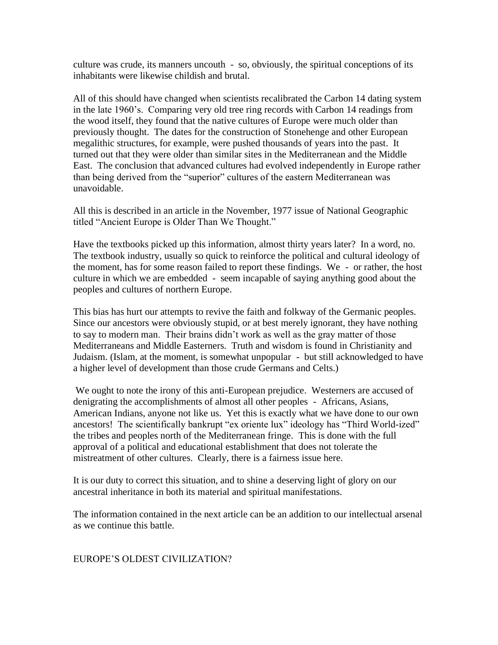culture was crude, its manners uncouth - so, obviously, the spiritual conceptions of its inhabitants were likewise childish and brutal.

All of this should have changed when scientists recalibrated the Carbon 14 dating system in the late 1960's. Comparing very old tree ring records with Carbon 14 readings from the wood itself, they found that the native cultures of Europe were much older than previously thought. The dates for the construction of Stonehenge and other European megalithic structures, for example, were pushed thousands of years into the past. It turned out that they were older than similar sites in the Mediterranean and the Middle East. The conclusion that advanced cultures had evolved independently in Europe rather than being derived from the "superior" cultures of the eastern Mediterranean was unavoidable.

All this is described in an article in the November, 1977 issue of National Geographic titled "Ancient Europe is Older Than We Thought."

Have the textbooks picked up this information, almost thirty years later? In a word, no. The textbook industry, usually so quick to reinforce the political and cultural ideology of the moment, has for some reason failed to report these findings. We - or rather, the host culture in which we are embedded - seem incapable of saying anything good about the peoples and cultures of northern Europe.

This bias has hurt our attempts to revive the faith and folkway of the Germanic peoples. Since our ancestors were obviously stupid, or at best merely ignorant, they have nothing to say to modern man. Their brains didn't work as well as the gray matter of those Mediterraneans and Middle Easterners. Truth and wisdom is found in Christianity and Judaism. (Islam, at the moment, is somewhat unpopular - but still acknowledged to have a higher level of development than those crude Germans and Celts.)

We ought to note the irony of this anti-European prejudice. Westerners are accused of denigrating the accomplishments of almost all other peoples - Africans, Asians, American Indians, anyone not like us. Yet this is exactly what we have done to our own ancestors! The scientifically bankrupt "ex oriente lux" ideology has "Third World-ized" the tribes and peoples north of the Mediterranean fringe. This is done with the full approval of a political and educational establishment that does not tolerate the mistreatment of other cultures. Clearly, there is a fairness issue here.

It is our duty to correct this situation, and to shine a deserving light of glory on our ancestral inheritance in both its material and spiritual manifestations.

The information contained in the next article can be an addition to our intellectual arsenal as we continue this battle.

#### EUROPE'S OLDEST CIVILIZATION?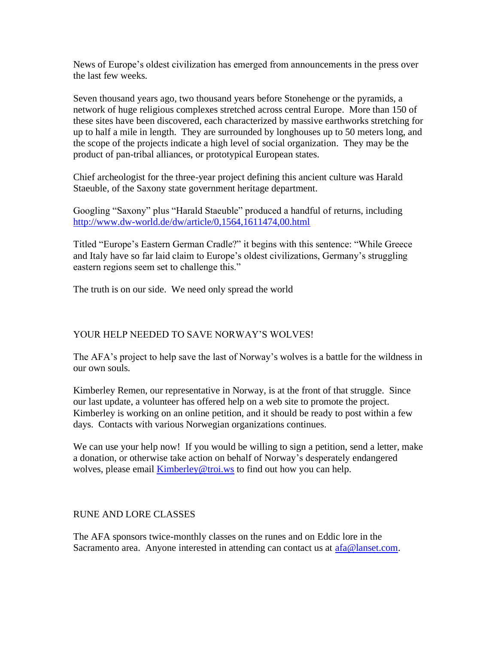News of Europe's oldest civilization has emerged from announcements in the press over the last few weeks.

Seven thousand years ago, two thousand years before Stonehenge or the pyramids, a network of huge religious complexes stretched across central Europe. More than 150 of these sites have been discovered, each characterized by massive earthworks stretching for up to half a mile in length. They are surrounded by longhouses up to 50 meters long, and the scope of the projects indicate a high level of social organization. They may be the product of pan-tribal alliances, or prototypical European states.

Chief archeologist for the three-year project defining this ancient culture was Harald Staeuble, of the Saxony state government heritage department.

Googling "Saxony" plus "Harald Staeuble" produced a handful of returns, including <http://www.dw-world.de/dw/article/0,1564,1611474,00.html>

Titled "Europe's Eastern German Cradle?" it begins with this sentence: "While Greece and Italy have so far laid claim to Europe's oldest civilizations, Germany's struggling eastern regions seem set to challenge this."

The truth is on our side. We need only spread the world

# YOUR HELP NEEDED TO SAVE NORWAY'S WOLVES!

The AFA's project to help save the last of Norway's wolves is a battle for the wildness in our own souls.

Kimberley Remen, our representative in Norway, is at the front of that struggle. Since our last update, a volunteer has offered help on a web site to promote the project. Kimberley is working on an online petition, and it should be ready to post within a few days. Contacts with various Norwegian organizations continues.

We can use your help now! If you would be willing to sign a petition, send a letter, make a donation, or otherwise take action on behalf of Norway's desperately endangered wolves, please email **[Kimberley@troi.ws](mailto:Kimberley@troi.ws)** to find out how you can help.

#### RUNE AND LORE CLASSES

The AFA sponsors twice-monthly classes on the runes and on Eddic lore in the Sacramento area. Anyone interested in attending can contact us at  $afa@lanset.com$ .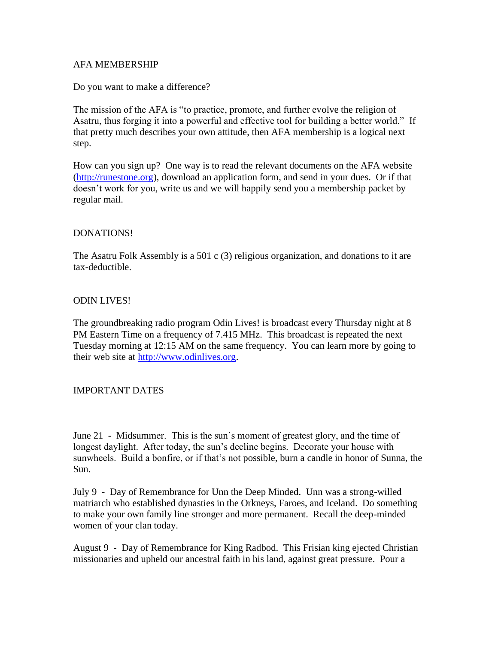## AFA MEMBERSHIP

Do you want to make a difference?

The mission of the AFA is "to practice, promote, and further evolve the religion of Asatru, thus forging it into a powerful and effective tool for building a better world." If that pretty much describes your own attitude, then AFA membership is a logical next step.

How can you sign up? One way is to read the relevant documents on the AFA website [\(http://runestone.org\)](http://runestone.org/), download an application form, and send in your dues. Or if that doesn't work for you, write us and we will happily send you a membership packet by regular mail.

#### DONATIONS!

The Asatru Folk Assembly is a 501 c (3) religious organization, and donations to it are tax-deductible.

## ODIN LIVES!

The groundbreaking radio program Odin Lives! is broadcast every Thursday night at 8 PM Eastern Time on a frequency of 7.415 MHz. This broadcast is repeated the next Tuesday morning at 12:15 AM on the same frequency. You can learn more by going to their web site at [http://www.odinlives.org.](http://www.odinlives.org/)

#### IMPORTANT DATES

June 21 - Midsummer. This is the sun's moment of greatest glory, and the time of longest daylight. After today, the sun's decline begins. Decorate your house with sunwheels. Build a bonfire, or if that's not possible, burn a candle in honor of Sunna, the Sun.

July 9 - Day of Remembrance for Unn the Deep Minded. Unn was a strong-willed matriarch who established dynasties in the Orkneys, Faroes, and Iceland. Do something to make your own family line stronger and more permanent. Recall the deep-minded women of your clan today.

August 9 - Day of Remembrance for King Radbod. This Frisian king ejected Christian missionaries and upheld our ancestral faith in his land, against great pressure. Pour a